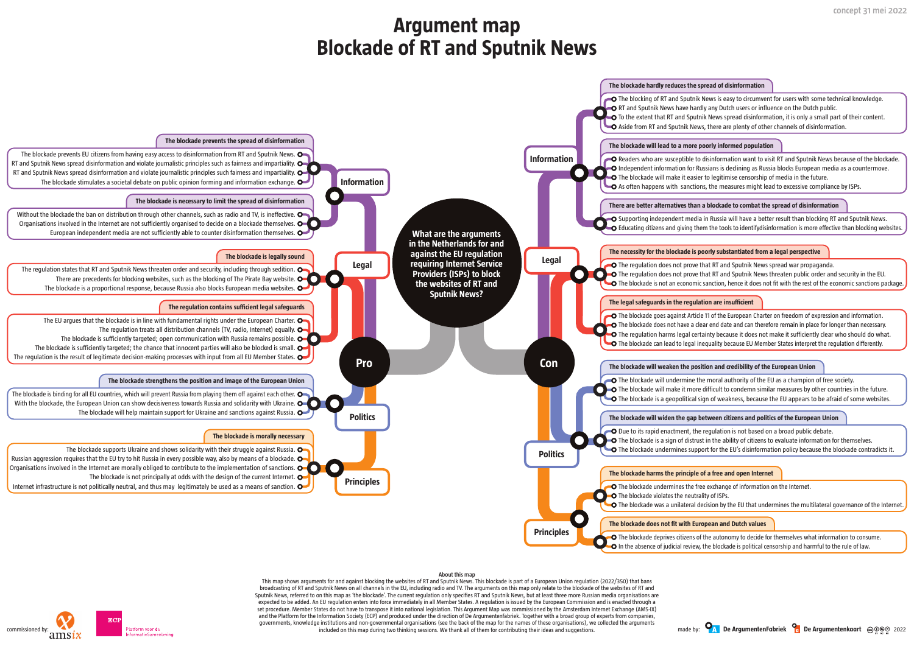

#### **About this map**

This map shows arguments for and against blocking the websites of RT and Sputnik News. This blockade is part of a European Union regulation (2022/350) that bans broadcasting of RT and Sputnik News on all channels in the EU, including radio and TV. The arguments on this map only relate to the blockade of the websites of RT and Sputnik News, referred to on this map as 'the blockade'. The current regulation only specifies RT and Sputnik News, but at least three more Russian media organisations are expected to be added. An EU regulation enters into force immediately in all Member States. A regulation is issued by the European Commission and is enacted through a set procedure. Member States do not have to transpose it into national legislation. This Argument Map was commissioned by the Amsterdam Internet Exchange (AMS-IX) and the Platform for the Information Society (ECP) and produced under the direction of De Argumentenfabriek. Together with a broad group of experts from companies, governments, knowledge institutions and non-governmental organisations (see the back of the map for the names of these organisations), we collected the arguments included on this map during two thinking sessions. We thank all of them for contributing their ideas and suggestions.

O Supporting independent media in Russia will have a better result than blocking RT and Sputnik News. Educating citizens and giving them the tools to identifydisinformation is more effective than blocking websites.

# **Argument map Blockade of RT and Sputnik News**



 $\bullet$  The regulation does not prove that RT and Sputnik News spread war propaganda. **The regulation does not prove that RT and Sputnik News threaten public order and security in the EU.** The blockade is not an economic sanction, hence it does not fit with the rest of the economic sanctions package.

O The blockade goes against Article 11 of the European Charter on freedom of expression and information. O The blockade does not have a clear end date and can therefore remain in place for longer than necessary. **O** The regulation harms legal certainty because it does not make it sufficiently clear who should do what. O The blockade can lead to legal inequality because EU Member States interpret the regulation differently.

## **There are better alternatives than a blockade to combat the spread of disinformation**

## **The necessity for the blockade is poorly substantiated from a legal perspective**

## **The blockade will weaken the position and credibility of the European Union**

 $\bullet$  The blockade will undermine the moral authority of the EU as a champion of free society. **The blockade will make it more difficult to condemn similar measures by other countries in the future.**  $\bullet$  The blockade is a geopolitical sign of weakness, because the EU appears to be afraid of some websites.

### **The blockade will widen the gap between citizens and politics of the European Union**

 $\bigcirc$  Due to its rapid enactment, the regulation is not based on a broad public debate.

**The blockade is a sign of distrust in the ability of citizens to evaluate information for themselves.** 

The blockade undermines support for the EU's disinformation policy because the blockade contradicts it.

**O** The blockade undermines the free exchange of information on the Internet.

The blockade was a unilateral decision by the EU that undermines the multilateral governance of the Internet.

O The blockade deprives citizens of the autonomy to decide for themselves what information to consume.  $\bullet$  In the absence of judicial review, the blockade is political censorship and harmful to the rule of law.





**O** The blocking of RT and Sputnik News is easy to circumvent for users with some technical knowledge. **O** RT and Sputnik News have hardly any Dutch users or influence on the Dutch public.

 $\bullet$  To the extent that RT and Sputnik News spread disinformation, it is only a small part of their content.  $\Box$  Aside from RT and Sputnik News, there are plenty of other channels of disinformation.

**O** Readers who are susceptible to disinformation want to visit RT and Sputnik News because of the blockade. **O** Independent information for Russians is declining as Russia blocks European media as a countermove.  $\bullet$  The blockade will make it easier to legitimise censorship of media in the future.

 $\bullet$  As often happens with sanctions, the measures might lead to excessive compliance by ISPs.